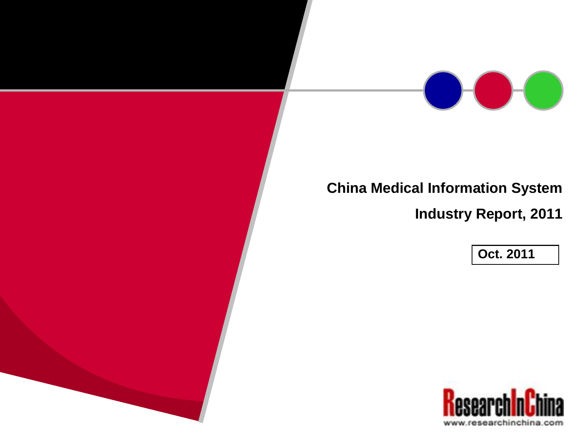

## **China Medical Information System**

**Industry Report, 2011**

**Oct. 2011**

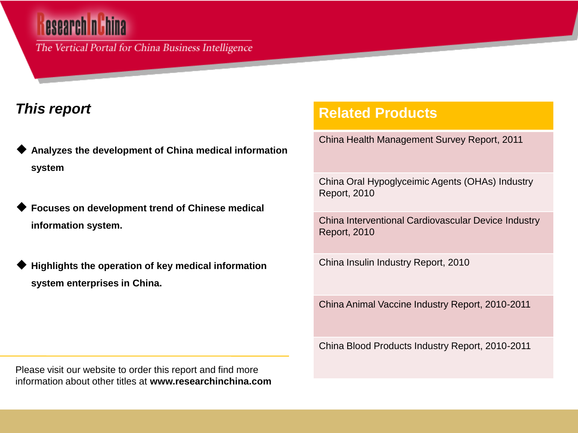# esearch n

The Vertical Portal for China Business Intelligence

### *This report*

- **Analyzes the development of China medical information system**
- **Focuses on development trend of Chinese medical information system.**
- **Highlights the operation of key medical information system enterprises in China.**

### **Related Products**

China Health Management Survey Report, 2011

China Oral Hypoglyceimic Agents (OHAs) Industry Report, 2010

China Interventional Cardiovascular Device Industry Report, 2010

China Insulin Industry Report, 2010

China Animal Vaccine Industry Report, 2010-2011

China Blood Products Industry Report, 2010-2011

Please visit our website to order this report and find more information about other titles at **www.researchinchina.com**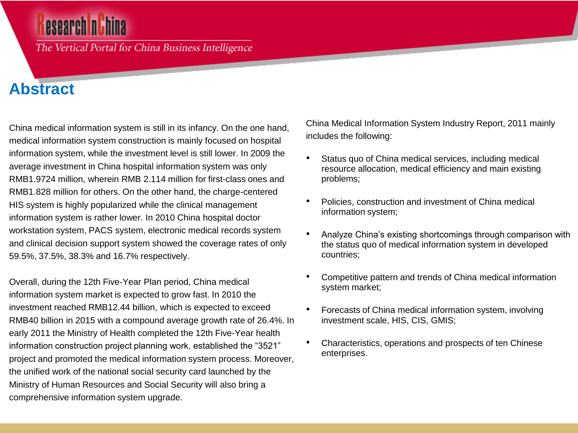## esearch <mark>n t</mark>hi

The Vertical Portal for China Business Intelligence

### **Abstract**

China medical information system is still in its infancy. On the one hand, medical information system construction is mainly focused on hospital information system, while the investment level is still lower. In 2009 the average investment in China hospital information system was only RMB1.9724 million, wherein RMB 2.114 million for first-class ones and RMB1.828 million for others. On the other hand, the charge-centered HIS system is highly popularized while the clinical management information system is rather lower. In 2010 China hospital doctor workstation system, PACS system, electronic medical records system and clinical decision support system showed the coverage rates of only 59.5%, 37.5%, 38.3% and 16.7% respectively.

Overall, during the 12th Five-Year Plan period, China medical information system market is expected to grow fast. In 2010 the investment reached RMB12.44 billion, which is expected to exceed RMB40 billion in 2015 with a compound average growth rate of 26.4%. In early 2011 the Ministry of Health completed the 12th Five-Year health information construction project planning work, established the "3521" project and promoted the medical information system process. Moreover, the unified work of the national social security card launched by the Ministry of Human Resources and Social Security will also bring a comprehensive information system upgrade.

China Medical Information System Industry Report, 2011 mainly includes the following:

- Status quo of China medical services, including medical resource allocation, medical efficiency and main existing problems;
- Policies, construction and investment of China medical information system;
- Analyze China's existing shortcomings through comparison with the status quo of medical information system in developed countries;
- Competitive pattern and trends of China medical information system market;
- Forecasts of China medical information system, involving investment scale, HIS, CIS, GMIS;
- Characteristics, operations and prospects of ten Chinese enterprises.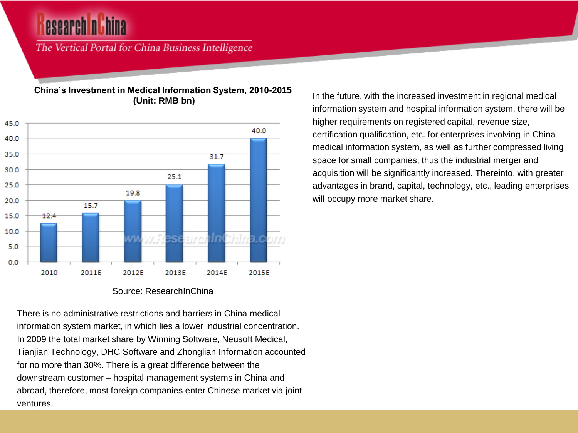The Vertical Portal for China Business Intelligence

#### **China's Investment in Medical Information System, 2010-2015 (Unit: RMB bn)**



#### Source: ResearchInChina

There is no administrative restrictions and barriers in China medical information system market, in which lies a lower industrial concentration. In 2009 the total market share by Winning Software, Neusoft Medical, Tianjian Technology, DHC Software and Zhonglian Information accounted for no more than 30%. There is a great difference between the downstream customer – hospital management systems in China and abroad, therefore, most foreign companies enter Chinese market via joint ventures.

In the future, with the increased investment in regional medical information system and hospital information system, there will be higher requirements on registered capital, revenue size, certification qualification, etc. for enterprises involving in China medical information system, as well as further compressed living space for small companies, thus the industrial merger and acquisition will be significantly increased. Thereinto, with greater advantages in brand, capital, technology, etc., leading enterprises will occupy more market share.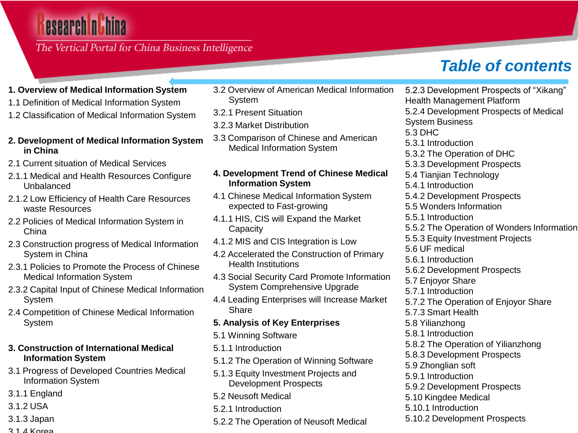## esearch nuhina

#### The Vertical Portal for China Business Intelligence

## *Table of contents*

- **1. Overview of Medical Information System**
- 1.1 Definition of Medical Information System
- 1.2 Classification of Medical Information System

#### **2. Development of Medical Information System in China**

- 2.1 Current situation of Medical Services
- 2.1.1 Medical and Health Resources Configure Unbalanced
- 2.1.2 Low Efficiency of Health Care Resources waste Resources
- 2.2 Policies of Medical Information System in China
- 2.3 Construction progress of Medical Information System in China
- 2.3.1 Policies to Promote the Process of Chinese Medical Information System
- 2.3.2 Capital Input of Chinese Medical Information System
- 2.4 Competition of Chinese Medical Information System

#### **3. Construction of International Medical Information System**

- 3.1 Progress of Developed Countries Medical Information System
- 3.1.1 England
- 3.1.2 USA
- 3.1.3 Japan
- $3.1$  *A* Korea
- 3.2 Overview of American Medical Information **System**
- 3.2.1 Present Situation
- 3.2.3 Market Distribution
- 3.3 Comparison of Chinese and American Medical Information System

#### **4. Development Trend of Chinese Medical Information System**

- 4.1 Chinese Medical Information System expected to Fast-growing
- 4.1.1 HIS, CIS will Expand the Market **Capacity**
- 4.1.2 MIS and CIS Integration is Low
- 4.2 Accelerated the Construction of Primary Health Institutions
- 4.3 Social Security Card Promote Information System Comprehensive Upgrade
- 4.4 Leading Enterprises will Increase Market **Share**

#### **5. Analysis of Key Enterprises**

- 5.1 Winning Software
- 5.1.1 Introduction
- 5.1.2 The Operation of Winning Software
- 5.1.3 Equity Investment Projects and Development Prospects
- 5.2 Neusoft Medical
- 5.2.1 Introduction
- 5.2.2 The Operation of Neusoft Medical

5.2.3 Development Prospects of "Xikang" Health Management Platform 5.2.4 Development Prospects of Medical System Business 5.3 DHC 5.3.1 Introduction 5.3.2 The Operation of DHC 5.3.3 Development Prospects 5.4 Tianjian Technology 5.4.1 Introduction 5.4.2 Development Prospects 5.5 Wonders Information 5.5.1 Introduction 5.5.2 The Operation of Wonders Information 5.5.3 Equity Investment Projects 5.6 UF medical 5.6.1 Introduction 5.6.2 Development Prospects 5.7 Enjoyor Share 5.7.1 Introduction 5.7.2 The Operation of Enjoyor Share 5.7.3 Smart Health 5.8 Yilianzhong 5.8.1 Introduction 5.8.2 The Operation of Yilianzhong 5.8.3 Development Prospects 5.9 Zhonglian soft 5.9.1 Introduction 5.9.2 Development Prospects 5.10 Kingdee Medical 5.10.1 Introduction 5.10.2 Development Prospects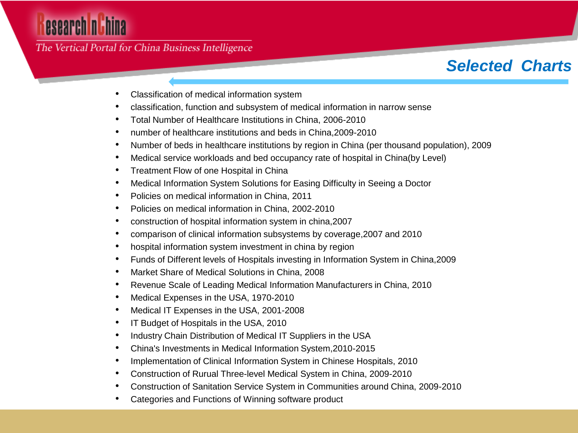# esearch nuhina

### The Vertical Portal for China Business Intelligence

### *Selected Charts*

- Classification of medical information system
- classification, function and subsystem of medical information in narrow sense
- Total Number of Healthcare Institutions in China, 2006-2010
- number of healthcare institutions and beds in China,2009-2010
- Number of beds in healthcare institutions by region in China (per thousand population), 2009
- Medical service workloads and bed occupancy rate of hospital in China(by Level)
- Treatment Flow of one Hospital in China
- Medical Information System Solutions for Easing Difficulty in Seeing a Doctor
- Policies on medical information in China, 2011
- Policies on medical information in China, 2002-2010
- construction of hospital information system in china,2007
- comparison of clinical information subsystems by coverage,2007 and 2010
- hospital information system investment in china by region
- Funds of Different levels of Hospitals investing in Information System in China,2009
- Market Share of Medical Solutions in China, 2008
- Revenue Scale of Leading Medical Information Manufacturers in China, 2010
- Medical Expenses in the USA, 1970-2010
- Medical IT Expenses in the USA, 2001-2008
- IT Budget of Hospitals in the USA, 2010
- Industry Chain Distribution of Medical IT Suppliers in the USA
- China's Investments in Medical Information System,2010-2015
- Implementation of Clinical Information System in Chinese Hospitals, 2010
- Construction of Rurual Three-level Medical System in China, 2009-2010
- Construction of Sanitation Service System in Communities around China, 2009-2010
- Categories and Functions of Winning software product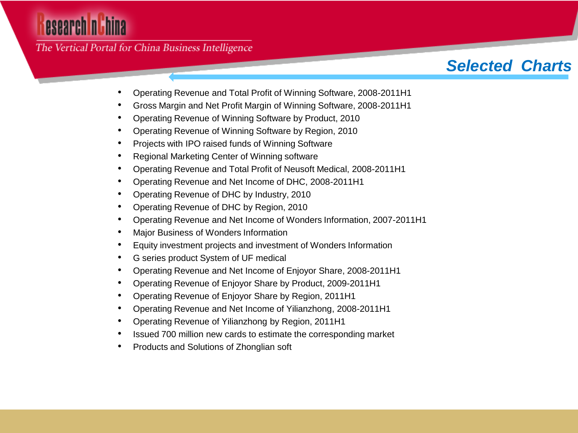# esearch ni hina

The Vertical Portal for China Business Intelligence

## *Selected Charts*

- Operating Revenue and Total Profit of Winning Software, 2008-2011H1
- Gross Margin and Net Profit Margin of Winning Software, 2008-2011H1
- Operating Revenue of Winning Software by Product, 2010
- Operating Revenue of Winning Software by Region, 2010
- Projects with IPO raised funds of Winning Software
- Regional Marketing Center of Winning software
- Operating Revenue and Total Profit of Neusoft Medical, 2008-2011H1
- Operating Revenue and Net Income of DHC, 2008-2011H1
- Operating Revenue of DHC by Industry, 2010
- Operating Revenue of DHC by Region, 2010
- Operating Revenue and Net Income of Wonders Information, 2007-2011H1
- Major Business of Wonders Information
- Equity investment projects and investment of Wonders Information
- G series product System of UF medical
- Operating Revenue and Net Income of Enjoyor Share, 2008-2011H1
- Operating Revenue of Enjoyor Share by Product, 2009-2011H1
- Operating Revenue of Enjoyor Share by Region, 2011H1
- Operating Revenue and Net Income of Yilianzhong, 2008-2011H1
- Operating Revenue of Yilianzhong by Region, 2011H1
- Issued 700 million new cards to estimate the corresponding market
- Products and Solutions of Zhonglian soft